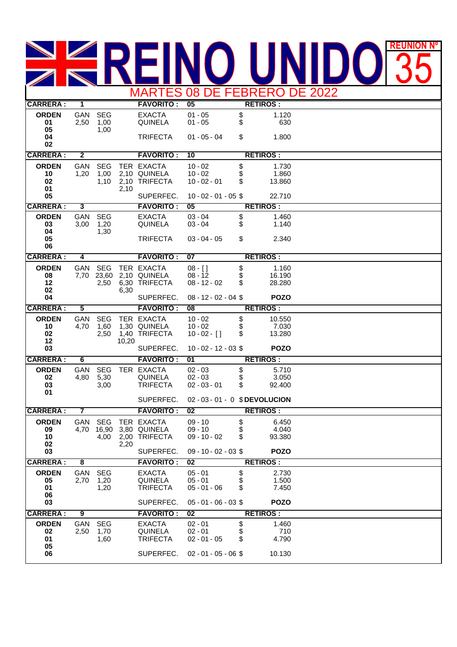## **REUNION REUNIÓN Nº** 35 MARTES 08 DE FEBRERO DE 2022

| <b>RETIROS:</b><br>\$<br>1.120<br><b>ORDEN</b><br>GAN<br><b>SEG</b><br><b>EXACTA</b><br>$01 - 05$<br>\$<br>1,00<br>01<br>2,50<br><b>QUINELA</b><br>$01 - 05$<br>630<br>05<br>1,00<br>\$<br>04<br><b>TRIFECTA</b><br>$01 - 05 - 04$<br>1.800<br>02<br><b>CARRERA:</b><br>$\overline{\mathbf{2}}$<br><b>RETIROS:</b><br><b>FAVORITO:</b><br>10<br><b>ORDEN</b><br>GAN<br><b>SEG</b><br>TER EXACTA<br>$10 - 02$<br>\$<br>1.730<br>10<br>1,20<br>1,00<br>2,10 QUINELA<br>$10 - 02$<br>1.860<br>\$<br>2,10 TRIFECTA<br>02<br>$10 - 02 - 01$<br>13.860<br>1,10<br>01<br>2,10<br>SUPERFEC.<br>05<br>$10 - 02 - 01 - 05$ \$<br>22.710<br><b>CARRERA:</b><br><b>FAVORITO:</b><br>3<br>$\overline{05}$<br><b>RETIROS:</b><br>GAN<br>\$<br><b>ORDEN</b><br><b>SEG</b><br><b>EXACTA</b><br>$03 - 04$<br>1.460<br>\$<br>1,20<br>03<br>3,00<br><b>QUINELA</b><br>$03 - 04$<br>1.140<br>04<br>1,30<br>\$<br>05<br><b>TRIFECTA</b><br>$03 - 04 - 05$<br>2.340<br>06<br><b>CARRERA:</b><br><b>RETIROS:</b><br>$\overline{\mathbf{A}}$<br><b>FAVORITO:</b><br>07<br><b>ORDEN</b><br>GAN<br><b>SEG</b><br>TER EXACTA<br>\$<br>1.160<br>$08 - 1$<br>\$<br>08<br>7,70 23,60<br>2,10 QUINELA<br>$08 - 12$<br>16.190<br>\$<br>12<br>2,50<br>6,30 TRIFECTA<br>$08 - 12 - 02$<br>28.280<br>02<br>6,30<br>04<br>SUPERFEC.<br><b>POZO</b><br>$08 - 12 - 02 - 04$ \$<br><b>CARRERA:</b><br>5<br><b>FAVORITO:</b><br>$\overline{08}$<br><b>RETIROS:</b><br><b>ORDEN</b><br>GAN<br><b>SEG</b><br>TER EXACTA<br>\$<br>$10 - 02$<br>10.550<br>1,60<br>1,30 QUINELA<br>7.030<br>10<br>4,70<br>$10 - 02$<br>\$<br>02<br>2,50<br>1,40 TRIFECTA<br>13.280<br>$10 - 02 - [$ ]<br>12<br>10,20<br>03<br>SUPERFEC.<br>$10 - 02 - 12 - 03$ \$<br><b>POZO</b><br><b>CARRERA:</b><br>6<br><b>FAVORITO:</b><br><b>RETIROS:</b><br>01<br><b>ORDEN</b><br>\$<br><b>GAN</b><br><b>SEG</b><br>TER EXACTA<br>$02 - 03$<br>5.710<br>\$<br>5,30<br><b>QUINELA</b><br>02<br>4,80<br>$02 - 03$<br>3.050<br>\$<br><b>TRIFECTA</b><br>$02 - 03 - 01$<br>03<br>3,00<br>92.400<br>01<br>SUPERFEC.<br>02 - 03 - 01 - 0 \$DEVOLUCION<br><b>CARRERA:</b><br>7<br><b>FAVORITO:</b><br>$\overline{02}$<br><b>RETIROS:</b><br>\$<br><b>ORDEN</b><br><b>SEG</b><br>TER EXACTA<br>GAN<br>$09 - 10$<br>6.450<br>\$<br>16,90<br>3,80 QUINELA<br>4.040<br>09<br>4,70<br>$09 - 10$<br>\$<br>10<br>2,00 TRIFECTA<br>93.380<br>4,00<br>$09 - 10 - 02$<br>02<br>2,20<br>03<br>SUPERFEC.<br><b>POZO</b><br>$09 - 10 - 02 - 03$ \$<br><b>CARRERA:</b><br>8<br><b>FAVORITO:</b><br>$\overline{02}$<br><b>RETIROS:</b><br>\$<br><b>ORDEN</b><br><b>SEG</b><br><b>GAN</b><br><b>EXACTA</b><br>$05 - 01$<br>2.730<br>\$<br>1,20<br><b>QUINELA</b><br>$05 - 01$<br>1.500<br>05<br>2,70<br>$05 - 01 - 06$<br>7.450<br>01<br>1,20<br><b>TRIFECTA</b><br>06<br>03<br>SUPERFEC.<br>$05 - 01 - 06 - 03$ \$<br><b>POZO</b><br><b>CARRERA:</b><br>9<br><b>FAVORITO:</b><br>02<br><b>RETIROS:</b><br>\$<br><b>ORDEN</b><br>GAN<br><b>SEG</b><br><b>EXACTA</b><br>$02 - 01$<br>1.460<br>\$<br>$02 - 01$<br>1,70<br><b>QUINELA</b><br>710<br>02<br>2,50<br>\$<br>01<br><b>TRIFECTA</b><br>$02 - 01 - 05$<br>1,60<br>4.790<br>05<br>SUPERFEC.<br>$02 - 01 - 05 - 06$ \$<br>10.130<br>06 |                 |   |  |                  |    |  |  |
|-----------------------------------------------------------------------------------------------------------------------------------------------------------------------------------------------------------------------------------------------------------------------------------------------------------------------------------------------------------------------------------------------------------------------------------------------------------------------------------------------------------------------------------------------------------------------------------------------------------------------------------------------------------------------------------------------------------------------------------------------------------------------------------------------------------------------------------------------------------------------------------------------------------------------------------------------------------------------------------------------------------------------------------------------------------------------------------------------------------------------------------------------------------------------------------------------------------------------------------------------------------------------------------------------------------------------------------------------------------------------------------------------------------------------------------------------------------------------------------------------------------------------------------------------------------------------------------------------------------------------------------------------------------------------------------------------------------------------------------------------------------------------------------------------------------------------------------------------------------------------------------------------------------------------------------------------------------------------------------------------------------------------------------------------------------------------------------------------------------------------------------------------------------------------------------------------------------------------------------------------------------------------------------------------------------------------------------------------------------------------------------------------------------------------------------------------------------------------------------------------------------------------------------------------------------------------------------------------------------------------------------------------------------------------------------------------------------------------------------------------------------------------------------------------------------------------------------------------------------------------------------------------------------------------------------------------------------------------------------------------------------------------------------------------------------------------------------------------------------------------------------------------------------------------------------------------|-----------------|---|--|------------------|----|--|--|
|                                                                                                                                                                                                                                                                                                                                                                                                                                                                                                                                                                                                                                                                                                                                                                                                                                                                                                                                                                                                                                                                                                                                                                                                                                                                                                                                                                                                                                                                                                                                                                                                                                                                                                                                                                                                                                                                                                                                                                                                                                                                                                                                                                                                                                                                                                                                                                                                                                                                                                                                                                                                                                                                                                                                                                                                                                                                                                                                                                                                                                                                                                                                                                                               | <b>CARRERA:</b> | 1 |  | <b>FAVORITO:</b> | 05 |  |  |
|                                                                                                                                                                                                                                                                                                                                                                                                                                                                                                                                                                                                                                                                                                                                                                                                                                                                                                                                                                                                                                                                                                                                                                                                                                                                                                                                                                                                                                                                                                                                                                                                                                                                                                                                                                                                                                                                                                                                                                                                                                                                                                                                                                                                                                                                                                                                                                                                                                                                                                                                                                                                                                                                                                                                                                                                                                                                                                                                                                                                                                                                                                                                                                                               |                 |   |  |                  |    |  |  |
|                                                                                                                                                                                                                                                                                                                                                                                                                                                                                                                                                                                                                                                                                                                                                                                                                                                                                                                                                                                                                                                                                                                                                                                                                                                                                                                                                                                                                                                                                                                                                                                                                                                                                                                                                                                                                                                                                                                                                                                                                                                                                                                                                                                                                                                                                                                                                                                                                                                                                                                                                                                                                                                                                                                                                                                                                                                                                                                                                                                                                                                                                                                                                                                               |                 |   |  |                  |    |  |  |
|                                                                                                                                                                                                                                                                                                                                                                                                                                                                                                                                                                                                                                                                                                                                                                                                                                                                                                                                                                                                                                                                                                                                                                                                                                                                                                                                                                                                                                                                                                                                                                                                                                                                                                                                                                                                                                                                                                                                                                                                                                                                                                                                                                                                                                                                                                                                                                                                                                                                                                                                                                                                                                                                                                                                                                                                                                                                                                                                                                                                                                                                                                                                                                                               |                 |   |  |                  |    |  |  |
|                                                                                                                                                                                                                                                                                                                                                                                                                                                                                                                                                                                                                                                                                                                                                                                                                                                                                                                                                                                                                                                                                                                                                                                                                                                                                                                                                                                                                                                                                                                                                                                                                                                                                                                                                                                                                                                                                                                                                                                                                                                                                                                                                                                                                                                                                                                                                                                                                                                                                                                                                                                                                                                                                                                                                                                                                                                                                                                                                                                                                                                                                                                                                                                               |                 |   |  |                  |    |  |  |
|                                                                                                                                                                                                                                                                                                                                                                                                                                                                                                                                                                                                                                                                                                                                                                                                                                                                                                                                                                                                                                                                                                                                                                                                                                                                                                                                                                                                                                                                                                                                                                                                                                                                                                                                                                                                                                                                                                                                                                                                                                                                                                                                                                                                                                                                                                                                                                                                                                                                                                                                                                                                                                                                                                                                                                                                                                                                                                                                                                                                                                                                                                                                                                                               |                 |   |  |                  |    |  |  |
|                                                                                                                                                                                                                                                                                                                                                                                                                                                                                                                                                                                                                                                                                                                                                                                                                                                                                                                                                                                                                                                                                                                                                                                                                                                                                                                                                                                                                                                                                                                                                                                                                                                                                                                                                                                                                                                                                                                                                                                                                                                                                                                                                                                                                                                                                                                                                                                                                                                                                                                                                                                                                                                                                                                                                                                                                                                                                                                                                                                                                                                                                                                                                                                               |                 |   |  |                  |    |  |  |
|                                                                                                                                                                                                                                                                                                                                                                                                                                                                                                                                                                                                                                                                                                                                                                                                                                                                                                                                                                                                                                                                                                                                                                                                                                                                                                                                                                                                                                                                                                                                                                                                                                                                                                                                                                                                                                                                                                                                                                                                                                                                                                                                                                                                                                                                                                                                                                                                                                                                                                                                                                                                                                                                                                                                                                                                                                                                                                                                                                                                                                                                                                                                                                                               |                 |   |  |                  |    |  |  |
|                                                                                                                                                                                                                                                                                                                                                                                                                                                                                                                                                                                                                                                                                                                                                                                                                                                                                                                                                                                                                                                                                                                                                                                                                                                                                                                                                                                                                                                                                                                                                                                                                                                                                                                                                                                                                                                                                                                                                                                                                                                                                                                                                                                                                                                                                                                                                                                                                                                                                                                                                                                                                                                                                                                                                                                                                                                                                                                                                                                                                                                                                                                                                                                               |                 |   |  |                  |    |  |  |
|                                                                                                                                                                                                                                                                                                                                                                                                                                                                                                                                                                                                                                                                                                                                                                                                                                                                                                                                                                                                                                                                                                                                                                                                                                                                                                                                                                                                                                                                                                                                                                                                                                                                                                                                                                                                                                                                                                                                                                                                                                                                                                                                                                                                                                                                                                                                                                                                                                                                                                                                                                                                                                                                                                                                                                                                                                                                                                                                                                                                                                                                                                                                                                                               |                 |   |  |                  |    |  |  |
|                                                                                                                                                                                                                                                                                                                                                                                                                                                                                                                                                                                                                                                                                                                                                                                                                                                                                                                                                                                                                                                                                                                                                                                                                                                                                                                                                                                                                                                                                                                                                                                                                                                                                                                                                                                                                                                                                                                                                                                                                                                                                                                                                                                                                                                                                                                                                                                                                                                                                                                                                                                                                                                                                                                                                                                                                                                                                                                                                                                                                                                                                                                                                                                               |                 |   |  |                  |    |  |  |
|                                                                                                                                                                                                                                                                                                                                                                                                                                                                                                                                                                                                                                                                                                                                                                                                                                                                                                                                                                                                                                                                                                                                                                                                                                                                                                                                                                                                                                                                                                                                                                                                                                                                                                                                                                                                                                                                                                                                                                                                                                                                                                                                                                                                                                                                                                                                                                                                                                                                                                                                                                                                                                                                                                                                                                                                                                                                                                                                                                                                                                                                                                                                                                                               |                 |   |  |                  |    |  |  |
|                                                                                                                                                                                                                                                                                                                                                                                                                                                                                                                                                                                                                                                                                                                                                                                                                                                                                                                                                                                                                                                                                                                                                                                                                                                                                                                                                                                                                                                                                                                                                                                                                                                                                                                                                                                                                                                                                                                                                                                                                                                                                                                                                                                                                                                                                                                                                                                                                                                                                                                                                                                                                                                                                                                                                                                                                                                                                                                                                                                                                                                                                                                                                                                               |                 |   |  |                  |    |  |  |
|                                                                                                                                                                                                                                                                                                                                                                                                                                                                                                                                                                                                                                                                                                                                                                                                                                                                                                                                                                                                                                                                                                                                                                                                                                                                                                                                                                                                                                                                                                                                                                                                                                                                                                                                                                                                                                                                                                                                                                                                                                                                                                                                                                                                                                                                                                                                                                                                                                                                                                                                                                                                                                                                                                                                                                                                                                                                                                                                                                                                                                                                                                                                                                                               |                 |   |  |                  |    |  |  |
|                                                                                                                                                                                                                                                                                                                                                                                                                                                                                                                                                                                                                                                                                                                                                                                                                                                                                                                                                                                                                                                                                                                                                                                                                                                                                                                                                                                                                                                                                                                                                                                                                                                                                                                                                                                                                                                                                                                                                                                                                                                                                                                                                                                                                                                                                                                                                                                                                                                                                                                                                                                                                                                                                                                                                                                                                                                                                                                                                                                                                                                                                                                                                                                               |                 |   |  |                  |    |  |  |
|                                                                                                                                                                                                                                                                                                                                                                                                                                                                                                                                                                                                                                                                                                                                                                                                                                                                                                                                                                                                                                                                                                                                                                                                                                                                                                                                                                                                                                                                                                                                                                                                                                                                                                                                                                                                                                                                                                                                                                                                                                                                                                                                                                                                                                                                                                                                                                                                                                                                                                                                                                                                                                                                                                                                                                                                                                                                                                                                                                                                                                                                                                                                                                                               |                 |   |  |                  |    |  |  |
|                                                                                                                                                                                                                                                                                                                                                                                                                                                                                                                                                                                                                                                                                                                                                                                                                                                                                                                                                                                                                                                                                                                                                                                                                                                                                                                                                                                                                                                                                                                                                                                                                                                                                                                                                                                                                                                                                                                                                                                                                                                                                                                                                                                                                                                                                                                                                                                                                                                                                                                                                                                                                                                                                                                                                                                                                                                                                                                                                                                                                                                                                                                                                                                               |                 |   |  |                  |    |  |  |
|                                                                                                                                                                                                                                                                                                                                                                                                                                                                                                                                                                                                                                                                                                                                                                                                                                                                                                                                                                                                                                                                                                                                                                                                                                                                                                                                                                                                                                                                                                                                                                                                                                                                                                                                                                                                                                                                                                                                                                                                                                                                                                                                                                                                                                                                                                                                                                                                                                                                                                                                                                                                                                                                                                                                                                                                                                                                                                                                                                                                                                                                                                                                                                                               |                 |   |  |                  |    |  |  |
|                                                                                                                                                                                                                                                                                                                                                                                                                                                                                                                                                                                                                                                                                                                                                                                                                                                                                                                                                                                                                                                                                                                                                                                                                                                                                                                                                                                                                                                                                                                                                                                                                                                                                                                                                                                                                                                                                                                                                                                                                                                                                                                                                                                                                                                                                                                                                                                                                                                                                                                                                                                                                                                                                                                                                                                                                                                                                                                                                                                                                                                                                                                                                                                               |                 |   |  |                  |    |  |  |
|                                                                                                                                                                                                                                                                                                                                                                                                                                                                                                                                                                                                                                                                                                                                                                                                                                                                                                                                                                                                                                                                                                                                                                                                                                                                                                                                                                                                                                                                                                                                                                                                                                                                                                                                                                                                                                                                                                                                                                                                                                                                                                                                                                                                                                                                                                                                                                                                                                                                                                                                                                                                                                                                                                                                                                                                                                                                                                                                                                                                                                                                                                                                                                                               |                 |   |  |                  |    |  |  |
|                                                                                                                                                                                                                                                                                                                                                                                                                                                                                                                                                                                                                                                                                                                                                                                                                                                                                                                                                                                                                                                                                                                                                                                                                                                                                                                                                                                                                                                                                                                                                                                                                                                                                                                                                                                                                                                                                                                                                                                                                                                                                                                                                                                                                                                                                                                                                                                                                                                                                                                                                                                                                                                                                                                                                                                                                                                                                                                                                                                                                                                                                                                                                                                               |                 |   |  |                  |    |  |  |
|                                                                                                                                                                                                                                                                                                                                                                                                                                                                                                                                                                                                                                                                                                                                                                                                                                                                                                                                                                                                                                                                                                                                                                                                                                                                                                                                                                                                                                                                                                                                                                                                                                                                                                                                                                                                                                                                                                                                                                                                                                                                                                                                                                                                                                                                                                                                                                                                                                                                                                                                                                                                                                                                                                                                                                                                                                                                                                                                                                                                                                                                                                                                                                                               |                 |   |  |                  |    |  |  |
|                                                                                                                                                                                                                                                                                                                                                                                                                                                                                                                                                                                                                                                                                                                                                                                                                                                                                                                                                                                                                                                                                                                                                                                                                                                                                                                                                                                                                                                                                                                                                                                                                                                                                                                                                                                                                                                                                                                                                                                                                                                                                                                                                                                                                                                                                                                                                                                                                                                                                                                                                                                                                                                                                                                                                                                                                                                                                                                                                                                                                                                                                                                                                                                               |                 |   |  |                  |    |  |  |
|                                                                                                                                                                                                                                                                                                                                                                                                                                                                                                                                                                                                                                                                                                                                                                                                                                                                                                                                                                                                                                                                                                                                                                                                                                                                                                                                                                                                                                                                                                                                                                                                                                                                                                                                                                                                                                                                                                                                                                                                                                                                                                                                                                                                                                                                                                                                                                                                                                                                                                                                                                                                                                                                                                                                                                                                                                                                                                                                                                                                                                                                                                                                                                                               |                 |   |  |                  |    |  |  |
|                                                                                                                                                                                                                                                                                                                                                                                                                                                                                                                                                                                                                                                                                                                                                                                                                                                                                                                                                                                                                                                                                                                                                                                                                                                                                                                                                                                                                                                                                                                                                                                                                                                                                                                                                                                                                                                                                                                                                                                                                                                                                                                                                                                                                                                                                                                                                                                                                                                                                                                                                                                                                                                                                                                                                                                                                                                                                                                                                                                                                                                                                                                                                                                               |                 |   |  |                  |    |  |  |
|                                                                                                                                                                                                                                                                                                                                                                                                                                                                                                                                                                                                                                                                                                                                                                                                                                                                                                                                                                                                                                                                                                                                                                                                                                                                                                                                                                                                                                                                                                                                                                                                                                                                                                                                                                                                                                                                                                                                                                                                                                                                                                                                                                                                                                                                                                                                                                                                                                                                                                                                                                                                                                                                                                                                                                                                                                                                                                                                                                                                                                                                                                                                                                                               |                 |   |  |                  |    |  |  |
|                                                                                                                                                                                                                                                                                                                                                                                                                                                                                                                                                                                                                                                                                                                                                                                                                                                                                                                                                                                                                                                                                                                                                                                                                                                                                                                                                                                                                                                                                                                                                                                                                                                                                                                                                                                                                                                                                                                                                                                                                                                                                                                                                                                                                                                                                                                                                                                                                                                                                                                                                                                                                                                                                                                                                                                                                                                                                                                                                                                                                                                                                                                                                                                               |                 |   |  |                  |    |  |  |
|                                                                                                                                                                                                                                                                                                                                                                                                                                                                                                                                                                                                                                                                                                                                                                                                                                                                                                                                                                                                                                                                                                                                                                                                                                                                                                                                                                                                                                                                                                                                                                                                                                                                                                                                                                                                                                                                                                                                                                                                                                                                                                                                                                                                                                                                                                                                                                                                                                                                                                                                                                                                                                                                                                                                                                                                                                                                                                                                                                                                                                                                                                                                                                                               |                 |   |  |                  |    |  |  |
|                                                                                                                                                                                                                                                                                                                                                                                                                                                                                                                                                                                                                                                                                                                                                                                                                                                                                                                                                                                                                                                                                                                                                                                                                                                                                                                                                                                                                                                                                                                                                                                                                                                                                                                                                                                                                                                                                                                                                                                                                                                                                                                                                                                                                                                                                                                                                                                                                                                                                                                                                                                                                                                                                                                                                                                                                                                                                                                                                                                                                                                                                                                                                                                               |                 |   |  |                  |    |  |  |
|                                                                                                                                                                                                                                                                                                                                                                                                                                                                                                                                                                                                                                                                                                                                                                                                                                                                                                                                                                                                                                                                                                                                                                                                                                                                                                                                                                                                                                                                                                                                                                                                                                                                                                                                                                                                                                                                                                                                                                                                                                                                                                                                                                                                                                                                                                                                                                                                                                                                                                                                                                                                                                                                                                                                                                                                                                                                                                                                                                                                                                                                                                                                                                                               |                 |   |  |                  |    |  |  |
|                                                                                                                                                                                                                                                                                                                                                                                                                                                                                                                                                                                                                                                                                                                                                                                                                                                                                                                                                                                                                                                                                                                                                                                                                                                                                                                                                                                                                                                                                                                                                                                                                                                                                                                                                                                                                                                                                                                                                                                                                                                                                                                                                                                                                                                                                                                                                                                                                                                                                                                                                                                                                                                                                                                                                                                                                                                                                                                                                                                                                                                                                                                                                                                               |                 |   |  |                  |    |  |  |
|                                                                                                                                                                                                                                                                                                                                                                                                                                                                                                                                                                                                                                                                                                                                                                                                                                                                                                                                                                                                                                                                                                                                                                                                                                                                                                                                                                                                                                                                                                                                                                                                                                                                                                                                                                                                                                                                                                                                                                                                                                                                                                                                                                                                                                                                                                                                                                                                                                                                                                                                                                                                                                                                                                                                                                                                                                                                                                                                                                                                                                                                                                                                                                                               |                 |   |  |                  |    |  |  |
|                                                                                                                                                                                                                                                                                                                                                                                                                                                                                                                                                                                                                                                                                                                                                                                                                                                                                                                                                                                                                                                                                                                                                                                                                                                                                                                                                                                                                                                                                                                                                                                                                                                                                                                                                                                                                                                                                                                                                                                                                                                                                                                                                                                                                                                                                                                                                                                                                                                                                                                                                                                                                                                                                                                                                                                                                                                                                                                                                                                                                                                                                                                                                                                               |                 |   |  |                  |    |  |  |
|                                                                                                                                                                                                                                                                                                                                                                                                                                                                                                                                                                                                                                                                                                                                                                                                                                                                                                                                                                                                                                                                                                                                                                                                                                                                                                                                                                                                                                                                                                                                                                                                                                                                                                                                                                                                                                                                                                                                                                                                                                                                                                                                                                                                                                                                                                                                                                                                                                                                                                                                                                                                                                                                                                                                                                                                                                                                                                                                                                                                                                                                                                                                                                                               |                 |   |  |                  |    |  |  |
|                                                                                                                                                                                                                                                                                                                                                                                                                                                                                                                                                                                                                                                                                                                                                                                                                                                                                                                                                                                                                                                                                                                                                                                                                                                                                                                                                                                                                                                                                                                                                                                                                                                                                                                                                                                                                                                                                                                                                                                                                                                                                                                                                                                                                                                                                                                                                                                                                                                                                                                                                                                                                                                                                                                                                                                                                                                                                                                                                                                                                                                                                                                                                                                               |                 |   |  |                  |    |  |  |
|                                                                                                                                                                                                                                                                                                                                                                                                                                                                                                                                                                                                                                                                                                                                                                                                                                                                                                                                                                                                                                                                                                                                                                                                                                                                                                                                                                                                                                                                                                                                                                                                                                                                                                                                                                                                                                                                                                                                                                                                                                                                                                                                                                                                                                                                                                                                                                                                                                                                                                                                                                                                                                                                                                                                                                                                                                                                                                                                                                                                                                                                                                                                                                                               |                 |   |  |                  |    |  |  |
|                                                                                                                                                                                                                                                                                                                                                                                                                                                                                                                                                                                                                                                                                                                                                                                                                                                                                                                                                                                                                                                                                                                                                                                                                                                                                                                                                                                                                                                                                                                                                                                                                                                                                                                                                                                                                                                                                                                                                                                                                                                                                                                                                                                                                                                                                                                                                                                                                                                                                                                                                                                                                                                                                                                                                                                                                                                                                                                                                                                                                                                                                                                                                                                               |                 |   |  |                  |    |  |  |
|                                                                                                                                                                                                                                                                                                                                                                                                                                                                                                                                                                                                                                                                                                                                                                                                                                                                                                                                                                                                                                                                                                                                                                                                                                                                                                                                                                                                                                                                                                                                                                                                                                                                                                                                                                                                                                                                                                                                                                                                                                                                                                                                                                                                                                                                                                                                                                                                                                                                                                                                                                                                                                                                                                                                                                                                                                                                                                                                                                                                                                                                                                                                                                                               |                 |   |  |                  |    |  |  |
|                                                                                                                                                                                                                                                                                                                                                                                                                                                                                                                                                                                                                                                                                                                                                                                                                                                                                                                                                                                                                                                                                                                                                                                                                                                                                                                                                                                                                                                                                                                                                                                                                                                                                                                                                                                                                                                                                                                                                                                                                                                                                                                                                                                                                                                                                                                                                                                                                                                                                                                                                                                                                                                                                                                                                                                                                                                                                                                                                                                                                                                                                                                                                                                               |                 |   |  |                  |    |  |  |
|                                                                                                                                                                                                                                                                                                                                                                                                                                                                                                                                                                                                                                                                                                                                                                                                                                                                                                                                                                                                                                                                                                                                                                                                                                                                                                                                                                                                                                                                                                                                                                                                                                                                                                                                                                                                                                                                                                                                                                                                                                                                                                                                                                                                                                                                                                                                                                                                                                                                                                                                                                                                                                                                                                                                                                                                                                                                                                                                                                                                                                                                                                                                                                                               |                 |   |  |                  |    |  |  |
|                                                                                                                                                                                                                                                                                                                                                                                                                                                                                                                                                                                                                                                                                                                                                                                                                                                                                                                                                                                                                                                                                                                                                                                                                                                                                                                                                                                                                                                                                                                                                                                                                                                                                                                                                                                                                                                                                                                                                                                                                                                                                                                                                                                                                                                                                                                                                                                                                                                                                                                                                                                                                                                                                                                                                                                                                                                                                                                                                                                                                                                                                                                                                                                               |                 |   |  |                  |    |  |  |
|                                                                                                                                                                                                                                                                                                                                                                                                                                                                                                                                                                                                                                                                                                                                                                                                                                                                                                                                                                                                                                                                                                                                                                                                                                                                                                                                                                                                                                                                                                                                                                                                                                                                                                                                                                                                                                                                                                                                                                                                                                                                                                                                                                                                                                                                                                                                                                                                                                                                                                                                                                                                                                                                                                                                                                                                                                                                                                                                                                                                                                                                                                                                                                                               |                 |   |  |                  |    |  |  |
|                                                                                                                                                                                                                                                                                                                                                                                                                                                                                                                                                                                                                                                                                                                                                                                                                                                                                                                                                                                                                                                                                                                                                                                                                                                                                                                                                                                                                                                                                                                                                                                                                                                                                                                                                                                                                                                                                                                                                                                                                                                                                                                                                                                                                                                                                                                                                                                                                                                                                                                                                                                                                                                                                                                                                                                                                                                                                                                                                                                                                                                                                                                                                                                               |                 |   |  |                  |    |  |  |
|                                                                                                                                                                                                                                                                                                                                                                                                                                                                                                                                                                                                                                                                                                                                                                                                                                                                                                                                                                                                                                                                                                                                                                                                                                                                                                                                                                                                                                                                                                                                                                                                                                                                                                                                                                                                                                                                                                                                                                                                                                                                                                                                                                                                                                                                                                                                                                                                                                                                                                                                                                                                                                                                                                                                                                                                                                                                                                                                                                                                                                                                                                                                                                                               |                 |   |  |                  |    |  |  |
|                                                                                                                                                                                                                                                                                                                                                                                                                                                                                                                                                                                                                                                                                                                                                                                                                                                                                                                                                                                                                                                                                                                                                                                                                                                                                                                                                                                                                                                                                                                                                                                                                                                                                                                                                                                                                                                                                                                                                                                                                                                                                                                                                                                                                                                                                                                                                                                                                                                                                                                                                                                                                                                                                                                                                                                                                                                                                                                                                                                                                                                                                                                                                                                               |                 |   |  |                  |    |  |  |
|                                                                                                                                                                                                                                                                                                                                                                                                                                                                                                                                                                                                                                                                                                                                                                                                                                                                                                                                                                                                                                                                                                                                                                                                                                                                                                                                                                                                                                                                                                                                                                                                                                                                                                                                                                                                                                                                                                                                                                                                                                                                                                                                                                                                                                                                                                                                                                                                                                                                                                                                                                                                                                                                                                                                                                                                                                                                                                                                                                                                                                                                                                                                                                                               |                 |   |  |                  |    |  |  |
|                                                                                                                                                                                                                                                                                                                                                                                                                                                                                                                                                                                                                                                                                                                                                                                                                                                                                                                                                                                                                                                                                                                                                                                                                                                                                                                                                                                                                                                                                                                                                                                                                                                                                                                                                                                                                                                                                                                                                                                                                                                                                                                                                                                                                                                                                                                                                                                                                                                                                                                                                                                                                                                                                                                                                                                                                                                                                                                                                                                                                                                                                                                                                                                               |                 |   |  |                  |    |  |  |
|                                                                                                                                                                                                                                                                                                                                                                                                                                                                                                                                                                                                                                                                                                                                                                                                                                                                                                                                                                                                                                                                                                                                                                                                                                                                                                                                                                                                                                                                                                                                                                                                                                                                                                                                                                                                                                                                                                                                                                                                                                                                                                                                                                                                                                                                                                                                                                                                                                                                                                                                                                                                                                                                                                                                                                                                                                                                                                                                                                                                                                                                                                                                                                                               |                 |   |  |                  |    |  |  |
|                                                                                                                                                                                                                                                                                                                                                                                                                                                                                                                                                                                                                                                                                                                                                                                                                                                                                                                                                                                                                                                                                                                                                                                                                                                                                                                                                                                                                                                                                                                                                                                                                                                                                                                                                                                                                                                                                                                                                                                                                                                                                                                                                                                                                                                                                                                                                                                                                                                                                                                                                                                                                                                                                                                                                                                                                                                                                                                                                                                                                                                                                                                                                                                               |                 |   |  |                  |    |  |  |
|                                                                                                                                                                                                                                                                                                                                                                                                                                                                                                                                                                                                                                                                                                                                                                                                                                                                                                                                                                                                                                                                                                                                                                                                                                                                                                                                                                                                                                                                                                                                                                                                                                                                                                                                                                                                                                                                                                                                                                                                                                                                                                                                                                                                                                                                                                                                                                                                                                                                                                                                                                                                                                                                                                                                                                                                                                                                                                                                                                                                                                                                                                                                                                                               |                 |   |  |                  |    |  |  |
|                                                                                                                                                                                                                                                                                                                                                                                                                                                                                                                                                                                                                                                                                                                                                                                                                                                                                                                                                                                                                                                                                                                                                                                                                                                                                                                                                                                                                                                                                                                                                                                                                                                                                                                                                                                                                                                                                                                                                                                                                                                                                                                                                                                                                                                                                                                                                                                                                                                                                                                                                                                                                                                                                                                                                                                                                                                                                                                                                                                                                                                                                                                                                                                               |                 |   |  |                  |    |  |  |
|                                                                                                                                                                                                                                                                                                                                                                                                                                                                                                                                                                                                                                                                                                                                                                                                                                                                                                                                                                                                                                                                                                                                                                                                                                                                                                                                                                                                                                                                                                                                                                                                                                                                                                                                                                                                                                                                                                                                                                                                                                                                                                                                                                                                                                                                                                                                                                                                                                                                                                                                                                                                                                                                                                                                                                                                                                                                                                                                                                                                                                                                                                                                                                                               |                 |   |  |                  |    |  |  |
|                                                                                                                                                                                                                                                                                                                                                                                                                                                                                                                                                                                                                                                                                                                                                                                                                                                                                                                                                                                                                                                                                                                                                                                                                                                                                                                                                                                                                                                                                                                                                                                                                                                                                                                                                                                                                                                                                                                                                                                                                                                                                                                                                                                                                                                                                                                                                                                                                                                                                                                                                                                                                                                                                                                                                                                                                                                                                                                                                                                                                                                                                                                                                                                               |                 |   |  |                  |    |  |  |
|                                                                                                                                                                                                                                                                                                                                                                                                                                                                                                                                                                                                                                                                                                                                                                                                                                                                                                                                                                                                                                                                                                                                                                                                                                                                                                                                                                                                                                                                                                                                                                                                                                                                                                                                                                                                                                                                                                                                                                                                                                                                                                                                                                                                                                                                                                                                                                                                                                                                                                                                                                                                                                                                                                                                                                                                                                                                                                                                                                                                                                                                                                                                                                                               |                 |   |  |                  |    |  |  |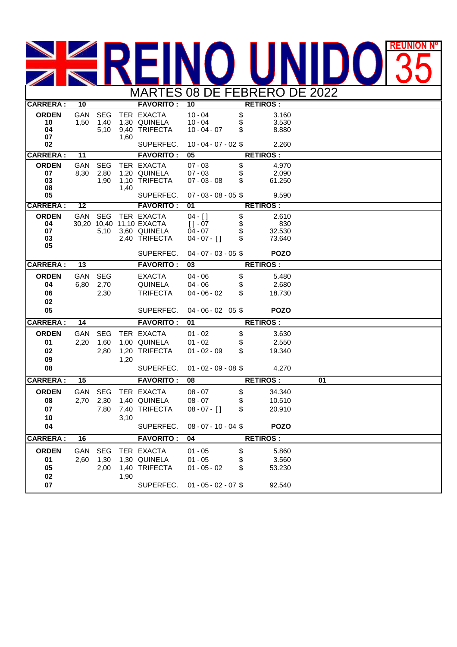## MARTES 08 DE FEBRERO DE 2022 **REUNIÓN Nº** 35

| <b>CARRERA:</b>                      | 10                 |                                           |      | <b>FAVORITO:</b>                                         | 10                                                                  |                | <b>RETIROS:</b>                           |    |  |
|--------------------------------------|--------------------|-------------------------------------------|------|----------------------------------------------------------|---------------------------------------------------------------------|----------------|-------------------------------------------|----|--|
| <b>ORDEN</b><br>10<br>04<br>07       | GAN<br>1,50        | <b>SEG</b><br>1,40<br>5,10                | 1,60 | TER EXACTA<br>1,30 QUINELA<br>9,40 TRIFECTA              | $10 - 04$<br>$10 - 04$<br>$10 - 04 - 07$                            | \$<br>\$       | 3.160<br>3.530<br>8.880                   |    |  |
| 02                                   |                    |                                           |      | SUPERFEC.                                                | $10 - 04 - 07 - 02$ \$                                              |                | 2.260                                     |    |  |
| <b>CARRERA:</b>                      | 11                 |                                           |      | <b>FAVORITO:</b>                                         | 05                                                                  |                | <b>RETIROS:</b>                           |    |  |
| <b>ORDEN</b><br>07<br>03<br>08<br>05 | GAN<br>8,30        | <b>SEG</b><br>2,80<br>1,90                | 1,40 | TER EXACTA<br>1,20 QUINELA<br>1,10 TRIFECTA<br>SUPERFEC. | $07 - 03$<br>$07 - 03$<br>$07 - 03 - 08$<br>$07 - 03 - 08 - 05$ \$  | \$<br>\$       | 4.970<br>2.090<br>61.250<br>9.590         |    |  |
| <b>CARRERA:</b>                      | 12                 |                                           |      | <b>FAVORITO:</b>                                         | $\overline{01}$                                                     |                | <b>RETIROS:</b>                           |    |  |
| <b>ORDEN</b>                         | GAN                | SEG                                       |      | TER EXACTA                                               | $04 - 1$                                                            |                | 2.610                                     |    |  |
| 04<br>07<br>03<br>05                 |                    | 30,20 10,40<br>5,10                       |      | 11,10 EXACTA<br>3,60 QUINELA<br>2,40 TRIFECTA            | $[1 - 07]$<br>$04 - 07$<br>$04 - 07 - [$ ]                          | \$<br>\$<br>\$ | 830<br>32.530<br>73.640                   |    |  |
|                                      |                    |                                           |      | SUPERFEC.                                                | $04 - 07 - 03 - 05$ \$                                              |                | <b>POZO</b>                               |    |  |
| <b>CARRERA:</b>                      | 13                 |                                           |      | <b>FAVORITO:</b>                                         | 03                                                                  |                | <b>RETIROS:</b>                           |    |  |
| <b>ORDEN</b><br>04<br>06<br>02       | GAN<br>6,80        | SEG<br>2,70<br>2,30                       |      | <b>EXACTA</b><br>QUINELA<br><b>TRIFECTA</b>              | $04 - 06$<br>$04 - 06$<br>$04 - 06 - 02$                            | \$<br>\$<br>\$ | 5.480<br>2.680<br>18.730                  |    |  |
| 05                                   |                    |                                           |      | SUPERFEC.                                                | $04 - 06 - 02$ 05 \$                                                |                | <b>POZO</b>                               |    |  |
| <b>CARRERA:</b>                      | 14                 | <b>FAVORITO:</b><br>01<br><b>RETIROS:</b> |      |                                                          |                                                                     |                |                                           |    |  |
| <b>ORDEN</b><br>01<br>02<br>09<br>08 | GAN<br>2,20        | <b>SEG</b><br>1,60<br>2,80                | 1,20 | TER EXACTA<br>1,00 QUINELA<br>1,20 TRIFECTA<br>SUPERFEC. | $01 - 02$<br>$01 - 02$<br>$01 - 02 - 09$<br>$01 - 02 - 09 - 08$     | \$<br>\$<br>\$ | 3.630<br>2.550<br>19.340<br>4.270         |    |  |
| <b>CARRERA:</b>                      | 15                 |                                           |      | <b>FAVORITO:</b>                                         | 08                                                                  |                | <b>RETIROS:</b>                           | 01 |  |
| <b>ORDEN</b><br>08<br>07<br>10<br>04 | GAN<br>2,70        | <b>SEG</b><br>2,30<br>7,80                | 3,10 | TER EXACTA<br>1,40 QUINELA<br>7,40 TRIFECTA<br>SUPERFEC. | $08 - 07$<br>$08 - 07$<br>$08 - 07 - [$ ]<br>$08 - 07 - 10 - 04$ \$ | \$<br>\$<br>\$ | 34.340<br>10.510<br>20.910<br><b>POZO</b> |    |  |
| <b>CARRERA:</b>                      | 16                 |                                           |      | <b>FAVORITO:</b>                                         | 04<br><b>RETIROS:</b>                                               |                |                                           |    |  |
| <b>ORDEN</b><br>01<br>05<br>02<br>07 | <b>GAN</b><br>2,60 | <b>SEG</b><br>1,30<br>2,00                | 1,90 | TER EXACTA<br>1,30 QUINELA<br>1,40 TRIFECTA<br>SUPERFEC. | $01 - 05$<br>$01 - 05$<br>$01 - 05 - 02$<br>$01 - 05 - 02 - 07$ \$  | \$<br>\$<br>\$ | 5.860<br>3.560<br>53.230<br>92.540        |    |  |